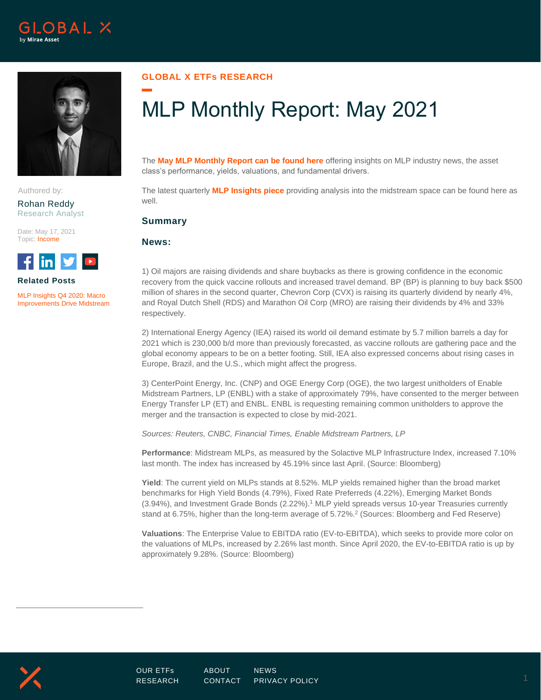



Authored by:

Rohan Reddy Research Analyst

Date: May 17, 2021 Topic: Income



**Related Posts**

[MLP Insights Q4 2020: Macro](https://www.globalxetfs.com/mlp-insights-q4-2020/)  [Improvements Drive Midstream](https://www.globalxetfs.com/mlp-insights-q4-2020/)

## **GLOBAL X ETFs RESEARCH**

# MLP Monthly Report: May 2021

The **May [MLP Monthly Report can be found here](https://www.globalxetfs.com/content/files/MLP-Report_04.30.2021.pdf)** offering insights on MLP industry news, the asset class's performance, yields, valuations, and fundamental drivers.

The latest quarterly **[MLP Insights piece](https://www.globalxetfs.com/mlp-insights-q4-2020/)** providing analysis into the midstream space can be found here as well.

### **Summary**

**News:**

1) Oil majors are raising dividends and share buybacks as there is growing confidence in the economic recovery from the quick vaccine rollouts and increased travel demand. BP (BP) is planning to buy back \$500 million of shares in the second quarter, Chevron Corp (CVX) is raising its quarterly dividend by nearly 4%, and Royal Dutch Shell (RDS) and Marathon Oil Corp (MRO) are raising their dividends by 4% and 33% respectively.

2) International Energy Agency (IEA) raised its world oil demand estimate by 5.7 million barrels a day for 2021 which is 230,000 b/d more than previously forecasted, as vaccine rollouts are gathering pace and the global economy appears to be on a better footing. Still, IEA also expressed concerns about rising cases in Europe, Brazil, and the U.S., which might affect the progress.

3) CenterPoint Energy, Inc. (CNP) and OGE Energy Corp (OGE), the two largest unitholders of Enable Midstream Partners, LP (ENBL) with a stake of approximately 79%, have consented to the merger between Energy Transfer LP (ET) and ENBL. ENBL is requesting remaining common unitholders to approve the merger and the transaction is expected to close by mid-2021.

*Sources: Reuters, CNBC, Financial Times, Enable Midstream Partners, LP*

**Performance**: Midstream MLPs, as measured by the Solactive MLP Infrastructure Index, increased 7.10% last month. The index has increased by 45.19% since last April. (Source: Bloomberg)

**Yield**: The current yield on MLPs stands at 8.52%. MLP yields remained higher than the broad market benchmarks for High Yield Bonds (4.79%), Fixed Rate Preferreds (4.22%), Emerging Market Bonds (3.94%), and Investment Grade Bonds (2.22%).<sup>1</sup> MLP yield spreads versus 10-year Treasuries currently stand at 6.75%, higher than the long-term average of 5.72%.<sup>2</sup> (Sources: Bloomberg and Fed Reserve)

**Valuations**: The Enterprise Value to EBITDA ratio (EV-to-EBITDA), which seeks to provide more color on the valuations of MLPs, increased by 2.26% last month. Since April 2020, the EV-to-EBITDA ratio is up by approximately 9.28%. (Source: Bloomberg)

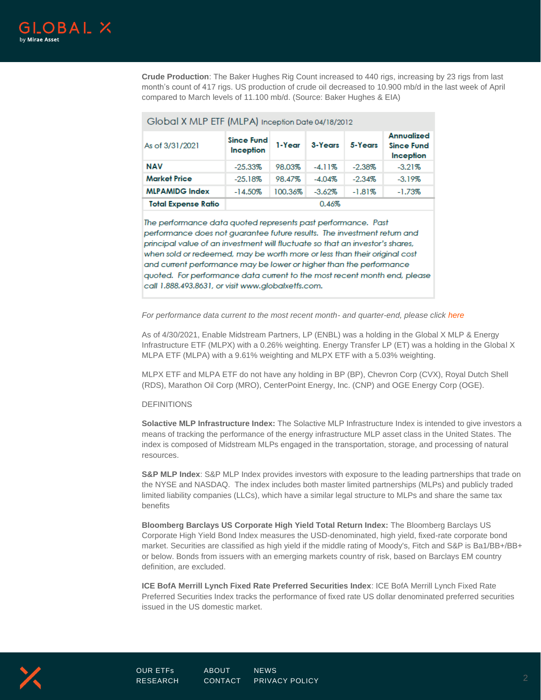

**Crude Production**: The Baker Hughes Rig Count increased to 440 rigs, increasing by 23 rigs from last month's count of 417 rigs. US production of crude oil decreased to 10.900 mb/d in the last week of April compared to March levels of 11.100 mb/d. (Source: Baker Hughes & EIA)

| Global X MLP ETF (MLPA) Inception Date 04/18/2012 |                                |         |           |           |                                                     |
|---------------------------------------------------|--------------------------------|---------|-----------|-----------|-----------------------------------------------------|
| As of 3/31/2021                                   | <b>Since Fund</b><br>Inception | 1-Year  | 3-Years   | 5-Years   | <b>Annualized</b><br><b>Since Fund</b><br>Inception |
| <b>NAV</b>                                        | $-25.33%$                      | 98.03%  | $-4.11%$  | $-2.38\%$ | $-3.21%$                                            |
| <b>Market Price</b>                               | $-25.18%$                      | 98.47%  | $-4.04%$  | $-2.34%$  | $-3.19%$                                            |
| <b>MLPAMIDG Index</b>                             | $-14.50%$                      | 100.36% | $-3.62\%$ | $-1.81%$  | $-1.73%$                                            |
| <b>Total Expense Ratio</b>                        | 0.46%                          |         |           |           |                                                     |

The performance data quoted represents past performance. Past performance does not guarantee future results. The investment return and principal value of an investment will fluctuate so that an investor's shares, when sold or redeemed, may be worth more or less than their original cost and current performance may be lower or higher than the performance quoted. For performance data current to the most recent month end, please call 1.888.493.8631, or visit www.globalxetfs.com.

#### *For performance data current to the most recent month- and quarter-end, please click [here](https://www.globalxetfs.com/funds/mlpa/)*

As of 4/30/2021, Enable Midstream Partners, LP (ENBL) was a holding in the Global X MLP & Energy Infrastructure ETF (MLPX) with a 0.26% weighting. Energy Transfer LP (ET) was a holding in the Global X MLPA ETF (MLPA) with a 9.61% weighting and MLPX ETF with a 5.03% weighting.

MLPX ETF and MLPA ETF do not have any holding in BP (BP), Chevron Corp (CVX), Royal Dutch Shell (RDS), Marathon Oil Corp (MRO), CenterPoint Energy, Inc. (CNP) and OGE Energy Corp (OGE).

#### DEFINITIONS

**Solactive MLP Infrastructure Index:** The Solactive MLP Infrastructure Index is intended to give investors a means of tracking the performance of the energy infrastructure MLP asset class in the United States. The index is composed of Midstream MLPs engaged in the transportation, storage, and processing of natural resources.

**S&P MLP Index**: S&P MLP Index provides investors with exposure to the leading partnerships that trade on the NYSE and NASDAQ. The index includes both master limited partnerships (MLPs) and publicly traded limited liability companies (LLCs), which have a similar legal structure to MLPs and share the same tax benefits

**Bloomberg Barclays US Corporate High Yield Total Return Index:** The Bloomberg Barclays US Corporate High Yield Bond Index measures the USD-denominated, high yield, fixed-rate corporate bond market. Securities are classified as high yield if the middle rating of Moody's, Fitch and S&P is Ba1/BB+/BB+ or below. Bonds from issuers with an emerging markets country of risk, based on Barclays EM country definition, are excluded.

**ICE BofA Merrill Lynch Fixed Rate Preferred Securities Index**: ICE BofA Merrill Lynch Fixed Rate Preferred Securities Index tracks the performance of fixed rate US dollar denominated preferred securities issued in the US domestic market.

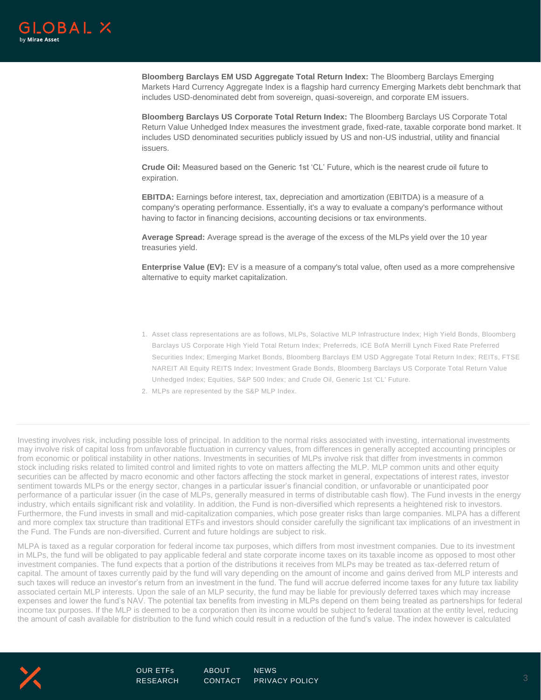

**Bloomberg Barclays EM USD Aggregate Total Return Index:** The Bloomberg Barclays Emerging Markets Hard Currency Aggregate Index is a flagship hard currency Emerging Markets debt benchmark that includes USD-denominated debt from sovereign, quasi-sovereign, and corporate EM issuers.

**Bloomberg Barclays US Corporate Total Return Index:** The Bloomberg Barclays US Corporate Total Return Value Unhedged Index measures the investment grade, fixed-rate, taxable corporate bond market. It includes USD denominated securities publicly issued by US and non-US industrial, utility and financial issuers.

**Crude Oil:** Measured based on the Generic 1st 'CL' Future, which is the nearest crude oil future to expiration.

**EBITDA:** Earnings before interest, tax, depreciation and amortization (EBITDA) is a measure of a company's operating performance. Essentially, it's a way to evaluate a company's performance without having to factor in financing decisions, accounting decisions or tax environments.

**Average Spread:** Average spread is the average of the excess of the MLPs yield over the 10 year treasuries yield.

**Enterprise Value (EV):** EV is a measure of a company's total value, often used as a more comprehensive alternative to equity market capitalization.

- 1. Asset class representations are as follows, MLPs, Solactive MLP Infrastructure Index; High Yield Bonds, Bloomberg Barclays US Corporate High Yield Total Return Index; Preferreds, ICE BofA Merrill Lynch Fixed Rate Preferred Securities Index; Emerging Market Bonds, Bloomberg Barclays EM USD Aggregate Total Return In dex; REITs, FTSE NAREIT All Equity REITS Index; Investment Grade Bonds, Bloomberg Barclays US Corporate Total Return Value Unhedged Index; Equities, S&P 500 Index; and Crude Oil, Generic 1st 'CL' Future.
- 2. MLPs are represented by the S&P MLP Index.

Investing involves risk, including possible loss of principal. In addition to the normal risks associated with investing, international investments may involve risk of capital loss from unfavorable fluctuation in currency values, from differences in generally accepted accounting principles or from economic or political instability in other nations. Investments in securities of MLPs involve risk that differ from investments in common stock including risks related to limited control and limited rights to vote on matters affecting the MLP. MLP common units and other equity securities can be affected by macro economic and other factors affecting the stock market in general, expectations of interest rates, investor sentiment towards MLPs or the energy sector, changes in a particular issuer's financial condition, or unfavorable or unanticipated poor performance of a particular issuer (in the case of MLPs, generally measured in terms of distributable cash flow). The Fund invests in the energy industry, which entails significant risk and volatility. In addition, the Fund is non-diversified which represents a heightened risk to investors. Furthermore, the Fund invests in small and mid-capitalization companies, which pose greater risks than large companies. MLPA has a different and more complex tax structure than traditional ETFs and investors should consider carefully the significant tax implications of an investment in the Fund. The Funds are non-diversified. Current and future holdings are subject to risk.

MLPA is taxed as a regular corporation for federal income tax purposes, which differs from most investment companies. Due to its investment in MLPs, the fund will be obligated to pay applicable federal and state corporate income taxes on its taxable income as opposed to most other investment companies. The fund expects that a portion of the distributions it receives from MLPs may be treated as tax-deferred return of capital. The amount of taxes currently paid by the fund will vary depending on the amount of income and gains derived from MLP interests and such taxes will reduce an investor's return from an investment in the fund. The fund will accrue deferred income taxes for any future tax liability associated certain MLP interests. Upon the sale of an MLP security, the fund may be liable for previously deferred taxes which may increase expenses and lower the fund's NAV. The potential tax benefits from investing in MLPs depend on them being treated as partnerships for federal income tax purposes. If the MLP is deemed to be a corporation then its income would be subject to federal taxation at the entity level, reducing the amount of cash available for distribution to the fund which could result in a reduction of the fund's value. The index however is calculated